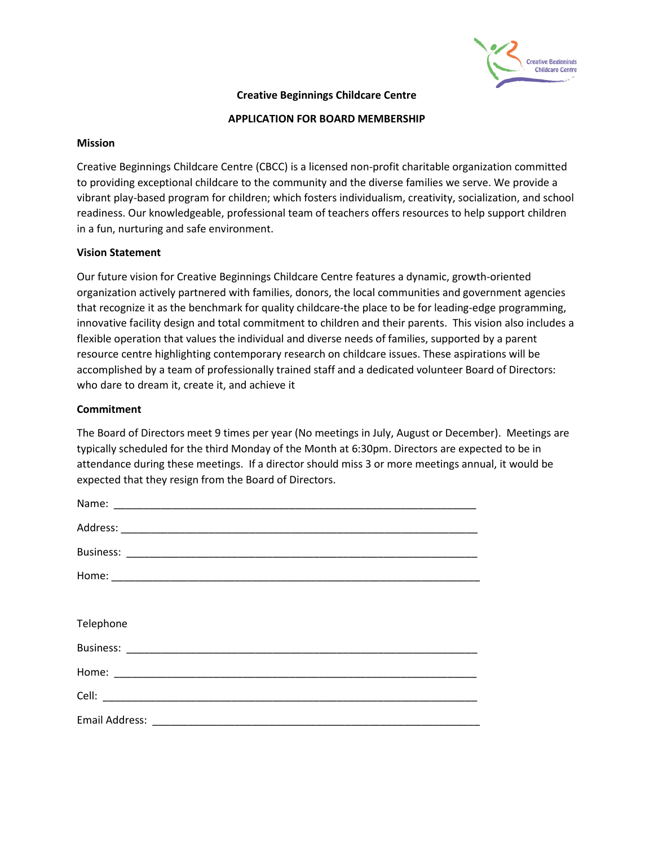

## **Creative Beginnings Childcare Centre**

#### **APPLICATION FOR BOARD MEMBERSHIP**

### **Mission**

Creative Beginnings Childcare Centre (CBCC) is a licensed non-profit charitable organization committed to providing exceptional childcare to the community and the diverse families we serve. We provide a vibrant play-based program for children; which fosters individualism, creativity, socialization, and school readiness. Our knowledgeable, professional team of teachers offers resources to help support children in a fun, nurturing and safe environment.

## **Vision Statement**

Our future vision for Creative Beginnings Childcare Centre features a dynamic, growth-oriented organization actively partnered with families, donors, the local communities and government agencies that recognize it as the benchmark for quality childcare-the place to be for leading-edge programming, innovative facility design and total commitment to children and their parents. This vision also includes a flexible operation that values the individual and diverse needs of families, supported by a parent resource centre highlighting contemporary research on childcare issues. These aspirations will be accomplished by a team of professionally trained staff and a dedicated volunteer Board of Directors: who dare to dream it, create it, and achieve it

### **Commitment**

The Board of Directors meet 9 times per year (No meetings in July, August or December). Meetings are typically scheduled for the third Monday of the Month at 6:30pm. Directors are expected to be in attendance during these meetings. If a director should miss 3 or more meetings annual, it would be expected that they resign from the Board of Directors.

| Telephone |
|-----------|
|           |
|           |
|           |
|           |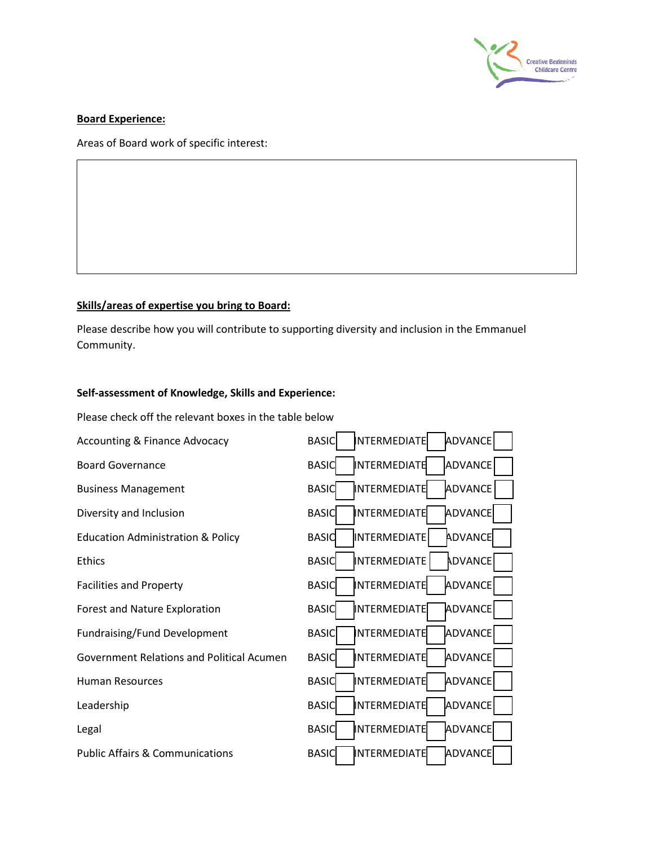

## **Board Experience:**

Areas of Board work of specific interest:

# **Skills/areas of expertise you bring to Board:**

Please describe how you will contribute to supporting diversity and inclusion in the Emmanuel Community.

### **Self-assessment of Knowledge, Skills and Experience:**

Please check off the relevant boxes in the table below

| <b>Accounting &amp; Finance Advocacy</b>         | ADVANCE<br><b>BASIC</b><br><b>INTERMEDIATE</b> |
|--------------------------------------------------|------------------------------------------------|
| <b>Board Governance</b>                          | ADVANCE<br>INTERMEDIATE<br><b>BASIC</b>        |
| <b>Business Management</b>                       | ADVANCE<br><b>BASIC</b><br>INTERMEDIATE        |
| Diversity and Inclusion                          | ADVANCE<br>INTERMEDIATE<br><b>BASIC</b>        |
| <b>Education Administration &amp; Policy</b>     | ADVANCE<br>INTERMEDIATE<br><b>BASIC</b>        |
| Ethics                                           | ADVANCE<br><b>BASIC</b><br>INTERMEDIATE        |
| <b>Facilities and Property</b>                   | ADVANCE<br>INTERMEDIATE<br><b>BASIC</b>        |
| Forest and Nature Exploration                    | ADVANCE<br><b>BASIC</b><br>INTERMEDIATE        |
| <b>Fundraising/Fund Development</b>              | ADVANCE<br><b>BASIC</b><br><b>NTERMEDIATE</b>  |
| <b>Government Relations and Political Acumen</b> | ADVANCE<br>INTERMEDIATE<br><b>BASIC</b>        |
| <b>Human Resources</b>                           | <b>ADVANCE</b><br><b>BASIC</b><br>INTERMEDIATE |
| Leadership                                       | INTERMEDIATE<br>ADVANCE<br><b>BASIC</b>        |
| Legal                                            | ADVANCE<br><b>BASIC</b><br>INTERMEDIATE        |
| <b>Public Affairs &amp; Communications</b>       | INTERMEDIATE<br>ADVANCE<br><b>BASIC</b>        |